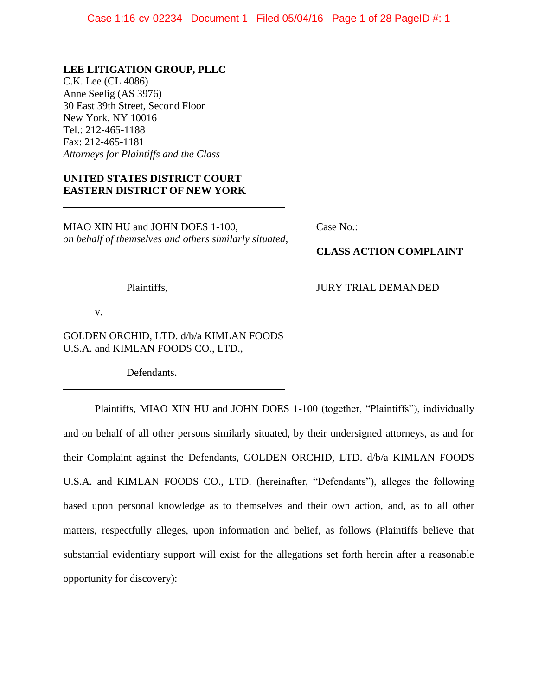Case 1:16-cv-02234 Document 1 Filed 05/04/16 Page 1 of 28 PageID #: 1

#### **LEE LITIGATION GROUP, PLLC**

C.K. Lee (CL 4086) Anne Seelig (AS 3976) 30 East 39th Street, Second Floor New York, NY 10016 Tel.: 212-465-1188 Fax: 212-465-1181 *Attorneys for Plaintiffs and the Class*

# **UNITED STATES DISTRICT COURT EASTERN DISTRICT OF NEW YORK**

MIAO XIN HU and JOHN DOES 1-100, Case No.: *on behalf of themselves and others similarly situated*,

# **CLASS ACTION COMPLAINT**

Plaintiffs, JURY TRIAL DEMANDED

v.

# GOLDEN ORCHID, LTD. d/b/a KIMLAN FOODS U.S.A. and KIMLAN FOODS CO., LTD.,

Defendants.

Plaintiffs, MIAO XIN HU and JOHN DOES 1-100 (together, "Plaintiffs"), individually and on behalf of all other persons similarly situated, by their undersigned attorneys, as and for their Complaint against the Defendants, GOLDEN ORCHID, LTD. d/b/a KIMLAN FOODS U.S.A. and KIMLAN FOODS CO., LTD. (hereinafter, "Defendants"), alleges the following based upon personal knowledge as to themselves and their own action, and, as to all other matters, respectfully alleges, upon information and belief, as follows (Plaintiffs believe that substantial evidentiary support will exist for the allegations set forth herein after a reasonable opportunity for discovery):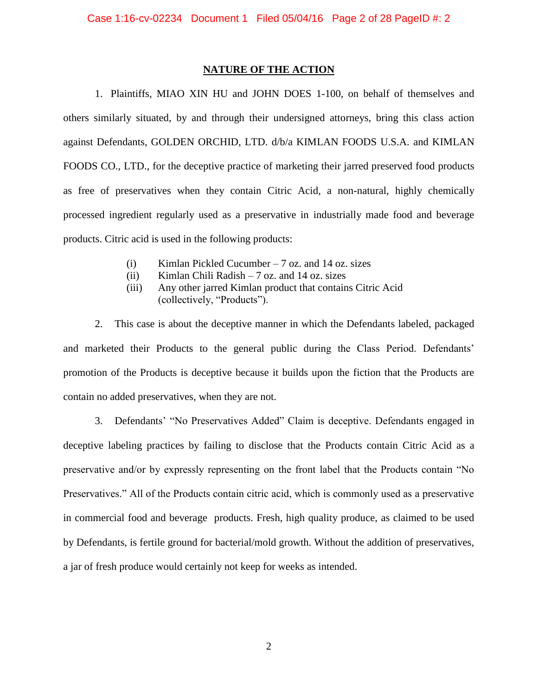### **NATURE OF THE ACTION**

1. Plaintiffs, MIAO XIN HU and JOHN DOES 1-100, on behalf of themselves and others similarly situated, by and through their undersigned attorneys, bring this class action against Defendants, GOLDEN ORCHID, LTD. d/b/a KIMLAN FOODS U.S.A. and KIMLAN FOODS CO., LTD., for the deceptive practice of marketing their jarred preserved food products as free of preservatives when they contain Citric Acid, a non-natural, highly chemically processed ingredient regularly used as a preservative in industrially made food and beverage products. Citric acid is used in the following products:

- (i) Kimlan Pickled Cucumber 7 oz. and 14 oz. sizes
- (ii) Kimlan Chili Radish 7 oz. and 14 oz. sizes
- (iii) Any other jarred Kimlan product that contains Citric Acid (collectively, "Products").

2. This case is about the deceptive manner in which the Defendants labeled, packaged and marketed their Products to the general public during the Class Period. Defendants' promotion of the Products is deceptive because it builds upon the fiction that the Products are contain no added preservatives, when they are not.

3. Defendants' "No Preservatives Added" Claim is deceptive. Defendants engaged in deceptive labeling practices by failing to disclose that the Products contain Citric Acid as a preservative and/or by expressly representing on the front label that the Products contain "No Preservatives." All of the Products contain citric acid, which is commonly used as a preservative in commercial food and beverage products. Fresh, high quality produce, as claimed to be used by Defendants, is fertile ground for bacterial/mold growth. Without the addition of preservatives, a jar of fresh produce would certainly not keep for weeks as intended.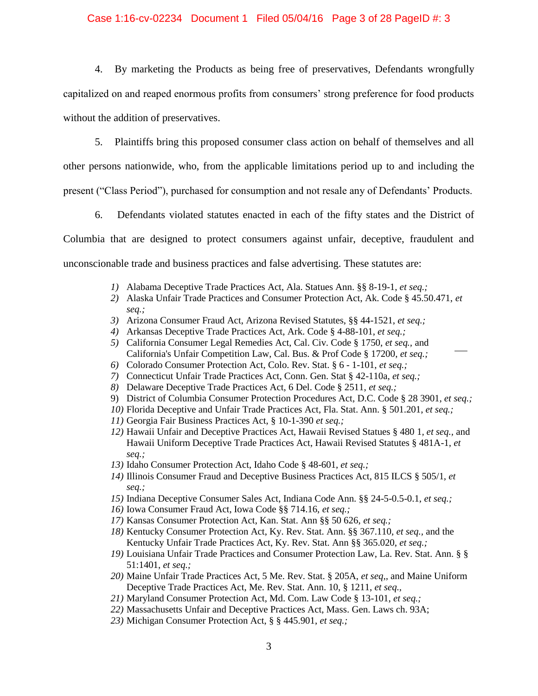### Case 1:16-cv-02234 Document 1 Filed 05/04/16 Page 3 of 28 PageID #: 3

4. By marketing the Products as being free of preservatives, Defendants wrongfully capitalized on and reaped enormous profits from consumers' strong preference for food products without the addition of preservatives.

5. Plaintiffs bring this proposed consumer class action on behalf of themselves and all other persons nationwide, who, from the applicable limitations period up to and including the present ("Class Period"), purchased for consumption and not resale any of Defendants' Products.

6. Defendants violated statutes enacted in each of the fifty states and the District of Columbia that are designed to protect consumers against unfair, deceptive, fraudulent and unconscionable trade and business practices and false advertising. These statutes are:

- *1)* Alabama Deceptive Trade Practices Act, Ala. Statues Ann. §§ 8-19-1, *et seq.;*
- *2)* Alaska Unfair Trade Practices and Consumer Protection Act, Ak. Code § 45.50.471, *et seq.;*
- *3)* Arizona Consumer Fraud Act, Arizona Revised Statutes, §§ 44-1521, *et seq.;*
- *4)* Arkansas Deceptive Trade Practices Act, Ark. Code § 4-88-101, *et seq.;*
- *5)* California Consumer Legal Remedies Act, Cal. Civ. Code § 1750, *et seq.,* and California's Unfair Competition Law, Cal. Bus. & Prof Code § 17200, *et seq.;*
- *6)* Colorado Consumer Protection Act, Colo. Rev. Stat. § 6 1-101, *et seq.;*
- *7)* Connecticut Unfair Trade Practices Act, Conn. Gen. Stat § 42-110a, *et seq.;*
- *8)* Delaware Deceptive Trade Practices Act, 6 Del. Code § 2511, *et seq.;*
- 9) District of Columbia Consumer Protection Procedures Act, D.C. Code § 28 3901, *et seq.;*
- *10)* Florida Deceptive and Unfair Trade Practices Act, Fla. Stat. Ann. § 501.201, *et seq.;*
- *11)* Georgia Fair Business Practices Act, § 10-1-390 *et seq.;*
- *12)* Hawaii Unfair and Deceptive Practices Act, Hawaii Revised Statues § 480 1*, et seq.,* and Hawaii Uniform Deceptive Trade Practices Act, Hawaii Revised Statutes § 481A-1, *et seq.;*
- *13)* Idaho Consumer Protection Act, Idaho Code § 48-601, *et seq.;*
- *14)* Illinois Consumer Fraud and Deceptive Business Practices Act, 815 ILCS § 505/1, *et seq.;*
- *15)* Indiana Deceptive Consumer Sales Act, Indiana Code Ann. §§ 24-5-0.5-0.1, *et seq.;*
- *16)* Iowa Consumer Fraud Act, Iowa Code §§ 714.16, *et seq.;*
- *17)* Kansas Consumer Protection Act, Kan. Stat. Ann §§ 50 626, *et seq.;*
- *18)* Kentucky Consumer Protection Act, Ky. Rev. Stat. Ann. §§ 367.110, *et seq.,* and the Kentucky Unfair Trade Practices Act, Ky. Rev. Stat. Ann §§ 365.020, *et seq.;*
- *19)* Louisiana Unfair Trade Practices and Consumer Protection Law, La. Rev. Stat. Ann. § § 51:1401, *et seq.;*
- *20)* Maine Unfair Trade Practices Act, 5 Me. Rev. Stat. § 205A, *et seq,,* and Maine Uniform Deceptive Trade Practices Act, Me. Rev. Stat. Ann. 10, § 1211, *et seq.,*
- *21)* Maryland Consumer Protection Act, Md. Com. Law Code § 13-101, *et seq.;*
- *22)* Massachusetts Unfair and Deceptive Practices Act, Mass. Gen. Laws ch. 93A;
- *23)* Michigan Consumer Protection Act, § § 445.901, *et seq.;*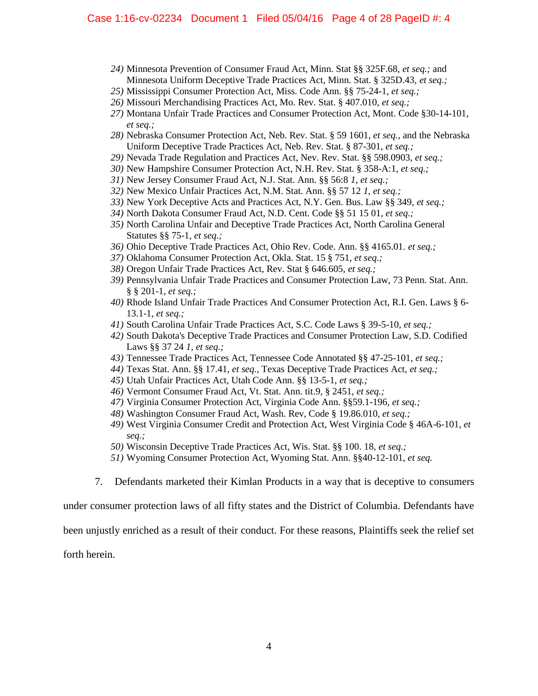# Case 1:16-cv-02234 Document 1 Filed 05/04/16 Page 4 of 28 PageID #: 4

- *24)* Minnesota Prevention of Consumer Fraud Act, Minn. Stat §§ 325F.68, *et seq.;* and Minnesota Uniform Deceptive Trade Practices Act, Minn. Stat. § 325D.43, *et seq.;*
- *25)* Mississippi Consumer Protection Act, Miss. Code Ann. §§ 75-24-1, *et seq.;*
- *26)* Missouri Merchandising Practices Act, Mo. Rev. Stat. § 407.010, *et seq.;*
- *27)* Montana Unfair Trade Practices and Consumer Protection Act, Mont. Code §30-14-101, *et seq.;*
- *28)* Nebraska Consumer Protection Act, Neb. Rev. Stat. § 59 1601, *et seq.,* and the Nebraska Uniform Deceptive Trade Practices Act, Neb. Rev. Stat. § 87-301, *et seq.;*
- *29)* Nevada Trade Regulation and Practices Act, Nev. Rev. Stat. §§ 598.0903, *et seq.;*
- *30)* New Hampshire Consumer Protection Act, N.H. Rev. Stat. § 358-A:1, *et seq.;*
- *31)* New Jersey Consumer Fraud Act, N.J. Stat. Ann. §§ 56:8 *1, et seq.;*
- *32)* New Mexico Unfair Practices Act, N.M. Stat. Ann. §§ 57 12 *1, et seq.;*
- *33)* New York Deceptive Acts and Practices Act, N.Y. Gen. Bus. Law §§ 349, *et seq.;*
- *34)* North Dakota Consumer Fraud Act, N.D. Cent. Code §§ 51 15 01, *et seq.;*
- *35)* North Carolina Unfair and Deceptive Trade Practices Act, North Carolina General Statutes §§ 75-1, *et seq.;*
- *36)* Ohio Deceptive Trade Practices Act, Ohio Rev. Code. Ann. §§ 4165.01. *et seq.;*
- *37)* Oklahoma Consumer Protection Act, Okla. Stat. 15 § 751, *et seq.;*
- *38)* Oregon Unfair Trade Practices Act, Rev. Stat § 646.605, *et seq.;*
- *39)* Pennsylvania Unfair Trade Practices and Consumer Protection Law, 73 Penn. Stat. Ann. § § 201-1, *et seq.;*
- *40)* Rhode Island Unfair Trade Practices And Consumer Protection Act, R.I. Gen. Laws § 6- 13.1-1, *et seq.;*
- *41)* South Carolina Unfair Trade Practices Act, S.C. Code Laws § 39-5-10, *et seq.;*
- *42)* South Dakota's Deceptive Trade Practices and Consumer Protection Law, S.D. Codified Laws §§ 37 24 *1, et seq.;*
- *43)* Tennessee Trade Practices Act, Tennessee Code Annotated §§ 47-25-101, *et seq.;*
- *44)* Texas Stat. Ann. §§ 17.41, *et seq.,* Texas Deceptive Trade Practices Act, *et seq.;*
- *45)* Utah Unfair Practices Act, Utah Code Ann. §§ 13-5-1, *et seq.;*
- *46)* Vermont Consumer Fraud Act, Vt. Stat. Ann. tit.9, § 2451, *et seq.;*
- *47)* Virginia Consumer Protection Act, Virginia Code Ann. §§59.1-196, *et seq.;*
- *48)* Washington Consumer Fraud Act, Wash. Rev, Code § 19.86.010, *et seq.;*
- *49)* West Virginia Consumer Credit and Protection Act, West Virginia Code § 46A-6-101, *et seq.;*
- *50)* Wisconsin Deceptive Trade Practices Act, Wis. Stat. §§ 100. 18, *et seq.;*
- *51)* Wyoming Consumer Protection Act, Wyoming Stat. Ann. §§40-12-101, *et seq.*
- 7. Defendants marketed their Kimlan Products in a way that is deceptive to consumers

under consumer protection laws of all fifty states and the District of Columbia. Defendants have

been unjustly enriched as a result of their conduct. For these reasons, Plaintiffs seek the relief set

forth herein.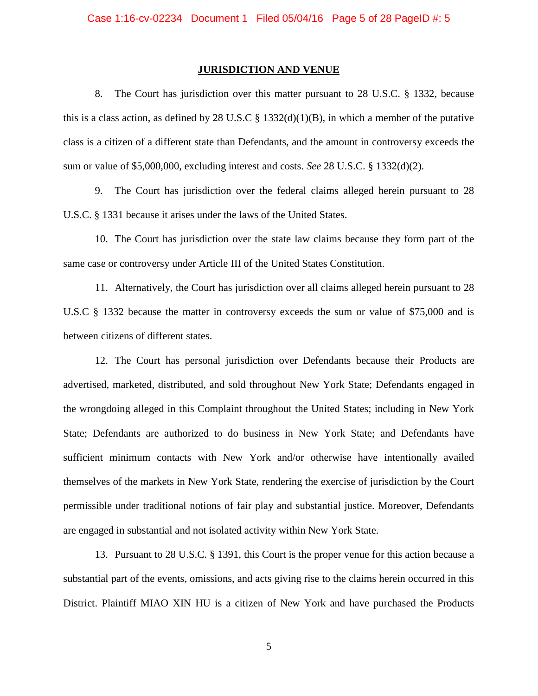#### **JURISDICTION AND VENUE**

8. The Court has jurisdiction over this matter pursuant to 28 U.S.C. § 1332, because this is a class action, as defined by 28 U.S.C  $\S$  1332(d)(1)(B), in which a member of the putative class is a citizen of a different state than Defendants, and the amount in controversy exceeds the sum or value of \$5,000,000, excluding interest and costs. *See* 28 U.S.C. § 1332(d)(2).

9. The Court has jurisdiction over the federal claims alleged herein pursuant to 28 U.S.C. § 1331 because it arises under the laws of the United States.

10. The Court has jurisdiction over the state law claims because they form part of the same case or controversy under Article III of the United States Constitution.

11. Alternatively, the Court has jurisdiction over all claims alleged herein pursuant to 28 U.S.C § 1332 because the matter in controversy exceeds the sum or value of \$75,000 and is between citizens of different states.

12. The Court has personal jurisdiction over Defendants because their Products are advertised, marketed, distributed, and sold throughout New York State; Defendants engaged in the wrongdoing alleged in this Complaint throughout the United States; including in New York State; Defendants are authorized to do business in New York State; and Defendants have sufficient minimum contacts with New York and/or otherwise have intentionally availed themselves of the markets in New York State, rendering the exercise of jurisdiction by the Court permissible under traditional notions of fair play and substantial justice. Moreover, Defendants are engaged in substantial and not isolated activity within New York State.

13. Pursuant to 28 U.S.C. § 1391, this Court is the proper venue for this action because a substantial part of the events, omissions, and acts giving rise to the claims herein occurred in this District. Plaintiff MIAO XIN HU is a citizen of New York and have purchased the Products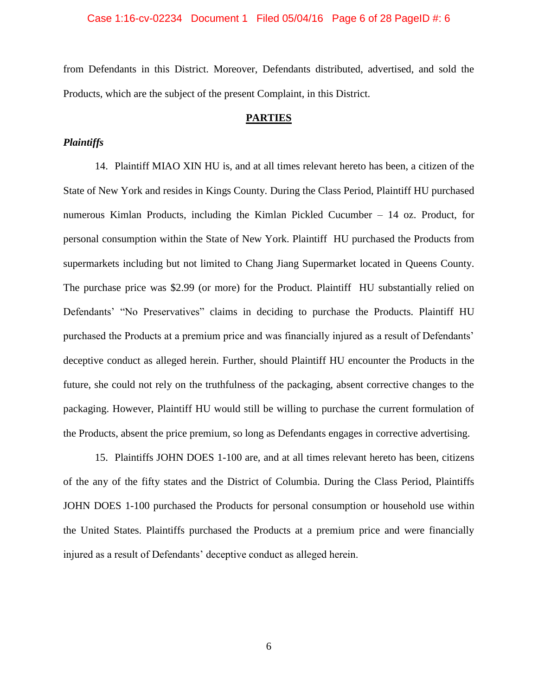### Case 1:16-cv-02234 Document 1 Filed 05/04/16 Page 6 of 28 PageID #: 6

from Defendants in this District. Moreover, Defendants distributed, advertised, and sold the Products, which are the subject of the present Complaint, in this District.

# **PARTIES**

## *Plaintiffs*

14. Plaintiff MIAO XIN HU is, and at all times relevant hereto has been, a citizen of the State of New York and resides in Kings County. During the Class Period, Plaintiff HU purchased numerous Kimlan Products, including the Kimlan Pickled Cucumber – 14 oz. Product, for personal consumption within the State of New York. Plaintiff HU purchased the Products from supermarkets including but not limited to Chang Jiang Supermarket located in Queens County. The purchase price was \$2.99 (or more) for the Product. Plaintiff HU substantially relied on Defendants' "No Preservatives" claims in deciding to purchase the Products. Plaintiff HU purchased the Products at a premium price and was financially injured as a result of Defendants' deceptive conduct as alleged herein. Further, should Plaintiff HU encounter the Products in the future, she could not rely on the truthfulness of the packaging, absent corrective changes to the packaging. However, Plaintiff HU would still be willing to purchase the current formulation of the Products, absent the price premium, so long as Defendants engages in corrective advertising.

15. Plaintiffs JOHN DOES 1-100 are, and at all times relevant hereto has been, citizens of the any of the fifty states and the District of Columbia. During the Class Period, Plaintiffs JOHN DOES 1-100 purchased the Products for personal consumption or household use within the United States. Plaintiffs purchased the Products at a premium price and were financially injured as a result of Defendants' deceptive conduct as alleged herein.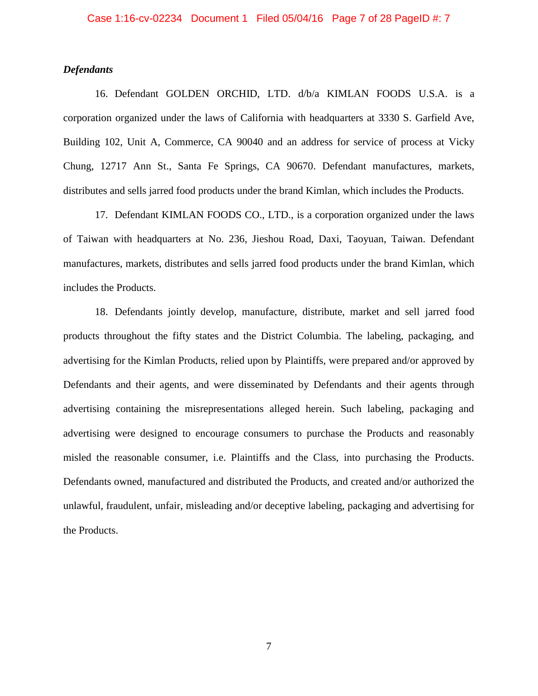### *Defendants*

16. Defendant GOLDEN ORCHID, LTD. d/b/a KIMLAN FOODS U.S.A. is a corporation organized under the laws of California with headquarters at 3330 S. Garfield Ave, Building 102, Unit A, Commerce, CA 90040 and an address for service of process at Vicky Chung, 12717 Ann St., Santa Fe Springs, CA 90670. Defendant manufactures, markets, distributes and sells jarred food products under the brand Kimlan, which includes the Products.

17. Defendant KIMLAN FOODS CO., LTD., is a corporation organized under the laws of Taiwan with headquarters at No. 236, Jieshou Road, Daxi, Taoyuan, Taiwan. Defendant manufactures, markets, distributes and sells jarred food products under the brand Kimlan, which includes the Products.

18. Defendants jointly develop, manufacture, distribute, market and sell jarred food products throughout the fifty states and the District Columbia. The labeling, packaging, and advertising for the Kimlan Products, relied upon by Plaintiffs, were prepared and/or approved by Defendants and their agents, and were disseminated by Defendants and their agents through advertising containing the misrepresentations alleged herein. Such labeling, packaging and advertising were designed to encourage consumers to purchase the Products and reasonably misled the reasonable consumer, i.e. Plaintiffs and the Class, into purchasing the Products. Defendants owned, manufactured and distributed the Products, and created and/or authorized the unlawful, fraudulent, unfair, misleading and/or deceptive labeling, packaging and advertising for the Products.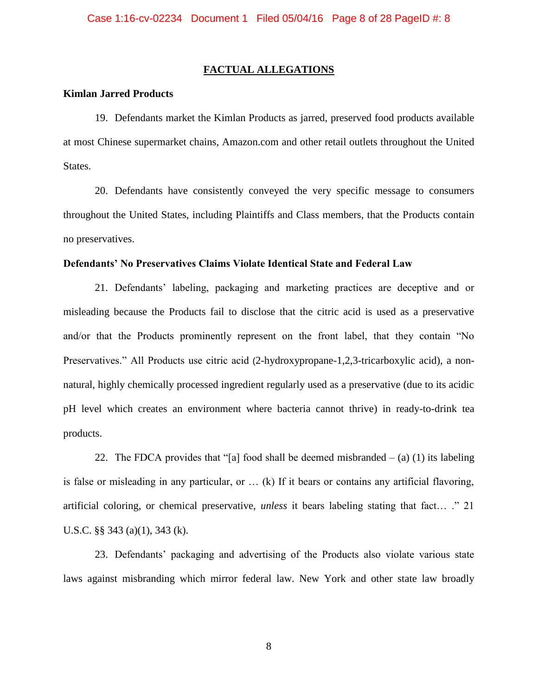### **FACTUAL ALLEGATIONS**

# **Kimlan Jarred Products**

19. Defendants market the Kimlan Products as jarred, preserved food products available at most Chinese supermarket chains, Amazon.com and other retail outlets throughout the United States.

20. Defendants have consistently conveyed the very specific message to consumers throughout the United States, including Plaintiffs and Class members, that the Products contain no preservatives.

# **Defendants' No Preservatives Claims Violate Identical State and Federal Law**

21. Defendants' labeling, packaging and marketing practices are deceptive and or misleading because the Products fail to disclose that the citric acid is used as a preservative and/or that the Products prominently represent on the front label, that they contain "No Preservatives." All Products use citric acid (2-hydroxypropane-1,2,3-tricarboxylic acid), a nonnatural, highly chemically processed ingredient regularly used as a preservative (due to its acidic pH level which creates an environment where bacteria cannot thrive) in ready-to-drink tea products.

22. The FDCA provides that "[a] food shall be deemed misbranded  $-$  (a) (1) its labeling is false or misleading in any particular, or  $\ldots$  (k) If it bears or contains any artificial flavoring, artificial coloring, or chemical preservative, *unless* it bears labeling stating that fact… ." 21 U.S.C. §§ 343 (a)(1), 343 (k).

23. Defendants' packaging and advertising of the Products also violate various state laws against misbranding which mirror federal law. New York and other state law broadly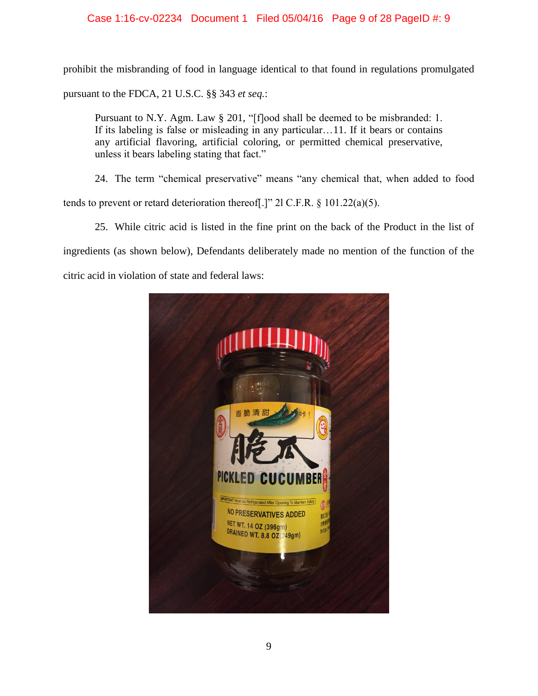# Case 1:16-cv-02234 Document 1 Filed 05/04/16 Page 9 of 28 PageID #: 9

prohibit the misbranding of food in language identical to that found in regulations promulgated pursuant to the FDCA, 21 U.S.C. §§ 343 *et seq.*:

Pursuant to N.Y. Agm. Law § 201, "[f]ood shall be deemed to be misbranded: 1. If its labeling is false or misleading in any particular…11. If it bears or contains any artificial flavoring, artificial coloring, or permitted chemical preservative, unless it bears labeling stating that fact."

24. The term "chemical preservative" means "any chemical that, when added to food tends to prevent or retard deterioration thereof[.]" 2l C.F.R. § 101.22(a)(5).

25. While citric acid is listed in the fine print on the back of the Product in the list of

ingredients (as shown below), Defendants deliberately made no mention of the function of the

citric acid in violation of state and federal laws:

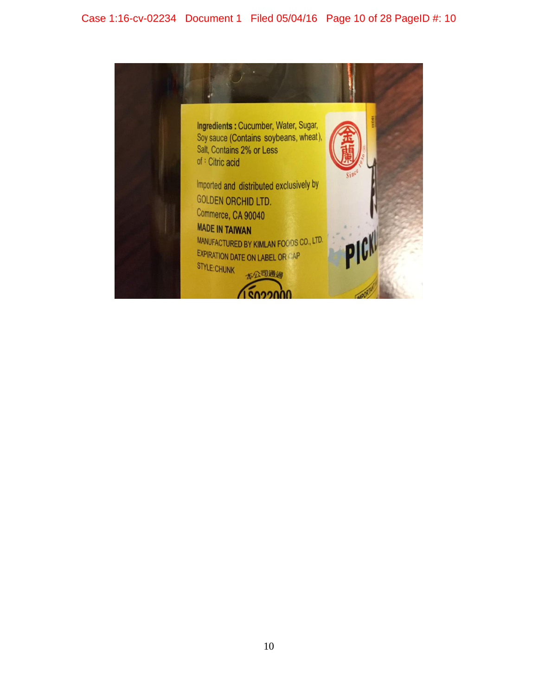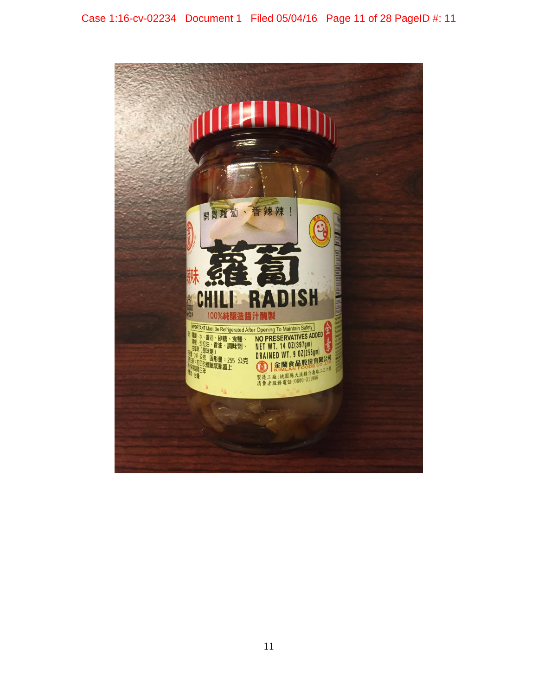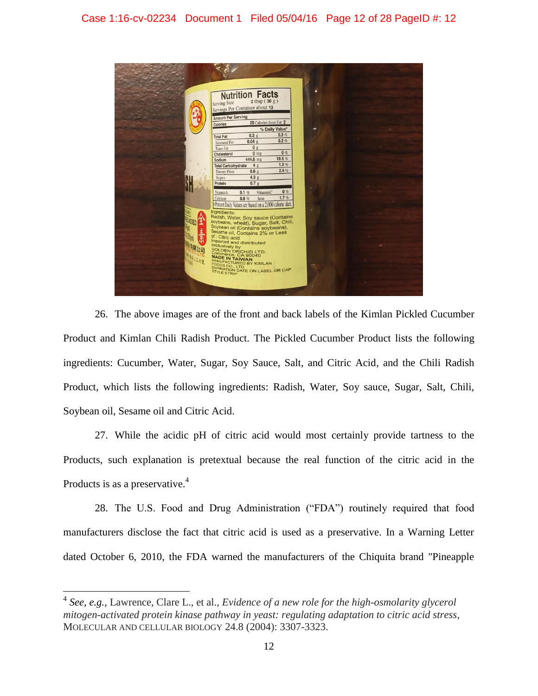

26. The above images are of the front and back labels of the Kimlan Pickled Cucumber Product and Kimlan Chili Radish Product. The Pickled Cucumber Product lists the following ingredients: Cucumber, Water, Sugar, Soy Sauce, Salt, and Citric Acid, and the Chili Radish Product, which lists the following ingredients: Radish, Water, Soy sauce, Sugar, Salt, Chili, Soybean oil, Sesame oil and Citric Acid.

27. While the acidic pH of citric acid would most certainly provide tartness to the Products, such explanation is pretextual because the real function of the citric acid in the Products is as a preservative.<sup>4</sup>

28. The U.S. Food and Drug Administration ("FDA") routinely required that food manufacturers disclose the fact that citric acid is used as a preservative. In a Warning Letter dated October 6, 2010, the FDA warned the manufacturers of the Chiquita brand "Pineapple

 $\overline{a}$ 

<sup>4</sup> *See, e.g.,* Lawrence, Clare L., et al., *Evidence of a new role for the high-osmolarity glycerol mitogen-activated protein kinase pathway in yeast: regulating adaptation to citric acid stress*, MOLECULAR AND CELLULAR BIOLOGY 24.8 (2004): 3307-3323.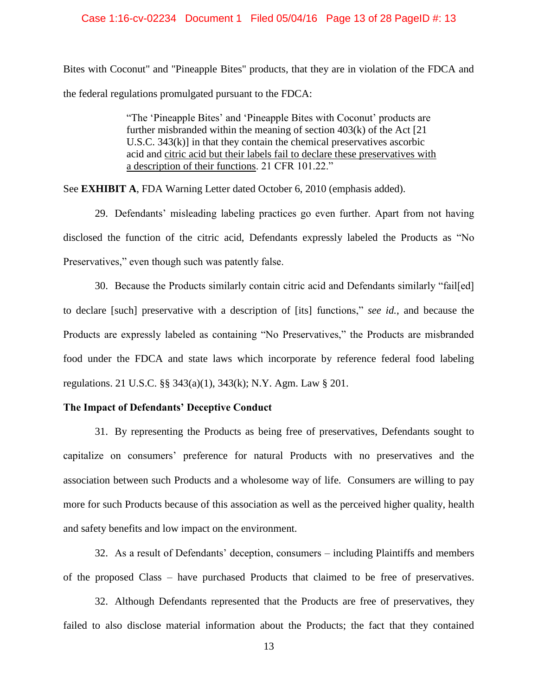#### Case 1:16-cv-02234 Document 1 Filed 05/04/16 Page 13 of 28 PageID #: 13

Bites with Coconut" and "Pineapple Bites" products, that they are in violation of the FDCA and the federal regulations promulgated pursuant to the FDCA:

> "The 'Pineapple Bites' and 'Pineapple Bites with Coconut' products are further misbranded within the meaning of section 403(k) of the Act [21 U.S.C. 343(k)] in that they contain the chemical preservatives ascorbic acid and citric acid but their labels fail to declare these preservatives with a description of their functions. 21 CFR 101.22."

See **EXHIBIT A**, FDA Warning Letter dated October 6, 2010 (emphasis added).

29. Defendants' misleading labeling practices go even further. Apart from not having disclosed the function of the citric acid, Defendants expressly labeled the Products as "No Preservatives," even though such was patently false.

30. Because the Products similarly contain citric acid and Defendants similarly "fail[ed] to declare [such] preservative with a description of [its] functions," *see id.*, and because the Products are expressly labeled as containing "No Preservatives," the Products are misbranded food under the FDCA and state laws which incorporate by reference federal food labeling regulations. 21 U.S.C. §§ 343(a)(1), 343(k); N.Y. Agm. Law § 201.

## **The Impact of Defendants' Deceptive Conduct**

31. By representing the Products as being free of preservatives, Defendants sought to capitalize on consumers' preference for natural Products with no preservatives and the association between such Products and a wholesome way of life. Consumers are willing to pay more for such Products because of this association as well as the perceived higher quality, health and safety benefits and low impact on the environment.

32. As a result of Defendants' deception, consumers – including Plaintiffs and members of the proposed Class – have purchased Products that claimed to be free of preservatives.

32. Although Defendants represented that the Products are free of preservatives, they failed to also disclose material information about the Products; the fact that they contained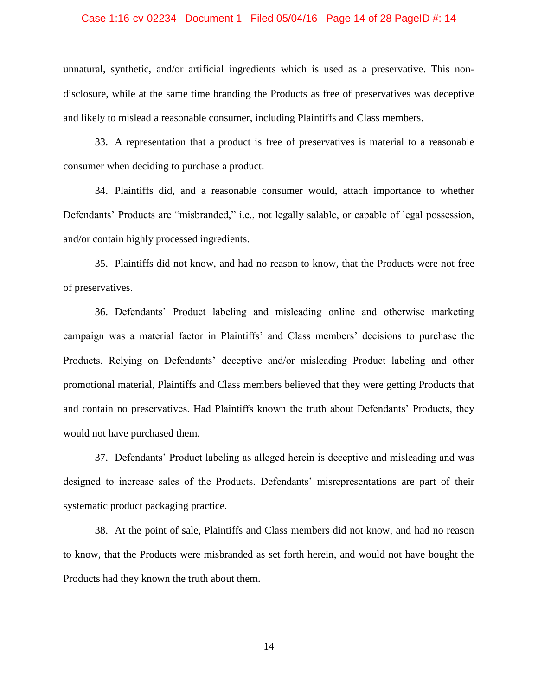### Case 1:16-cv-02234 Document 1 Filed 05/04/16 Page 14 of 28 PageID #: 14

unnatural, synthetic, and/or artificial ingredients which is used as a preservative. This nondisclosure, while at the same time branding the Products as free of preservatives was deceptive and likely to mislead a reasonable consumer, including Plaintiffs and Class members.

33. A representation that a product is free of preservatives is material to a reasonable consumer when deciding to purchase a product.

34. Plaintiffs did, and a reasonable consumer would, attach importance to whether Defendants' Products are "misbranded," i.e., not legally salable, or capable of legal possession, and/or contain highly processed ingredients.

35. Plaintiffs did not know, and had no reason to know, that the Products were not free of preservatives.

36. Defendants' Product labeling and misleading online and otherwise marketing campaign was a material factor in Plaintiffs' and Class members' decisions to purchase the Products. Relying on Defendants' deceptive and/or misleading Product labeling and other promotional material, Plaintiffs and Class members believed that they were getting Products that and contain no preservatives. Had Plaintiffs known the truth about Defendants' Products, they would not have purchased them.

37. Defendants' Product labeling as alleged herein is deceptive and misleading and was designed to increase sales of the Products. Defendants' misrepresentations are part of their systematic product packaging practice.

38. At the point of sale, Plaintiffs and Class members did not know, and had no reason to know, that the Products were misbranded as set forth herein, and would not have bought the Products had they known the truth about them.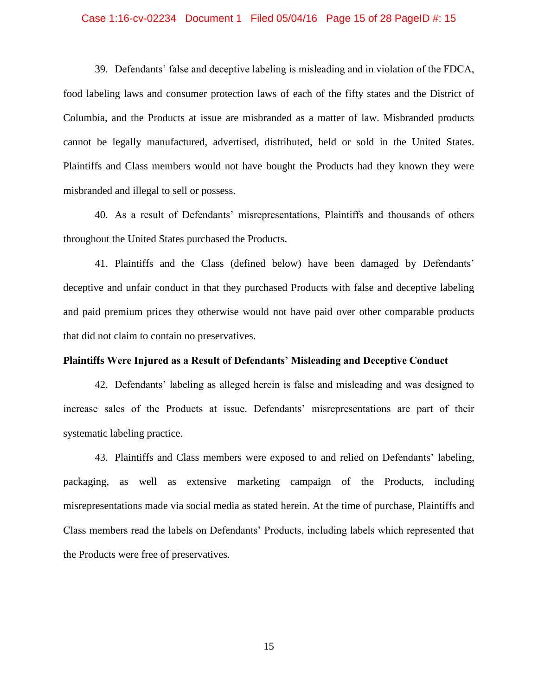#### Case 1:16-cv-02234 Document 1 Filed 05/04/16 Page 15 of 28 PageID #: 15

39. Defendants' false and deceptive labeling is misleading and in violation of the FDCA, food labeling laws and consumer protection laws of each of the fifty states and the District of Columbia, and the Products at issue are misbranded as a matter of law. Misbranded products cannot be legally manufactured, advertised, distributed, held or sold in the United States. Plaintiffs and Class members would not have bought the Products had they known they were misbranded and illegal to sell or possess.

40. As a result of Defendants' misrepresentations, Plaintiffs and thousands of others throughout the United States purchased the Products.

41. Plaintiffs and the Class (defined below) have been damaged by Defendants' deceptive and unfair conduct in that they purchased Products with false and deceptive labeling and paid premium prices they otherwise would not have paid over other comparable products that did not claim to contain no preservatives.

### **Plaintiffs Were Injured as a Result of Defendants' Misleading and Deceptive Conduct**

42. Defendants' labeling as alleged herein is false and misleading and was designed to increase sales of the Products at issue. Defendants' misrepresentations are part of their systematic labeling practice.

43. Plaintiffs and Class members were exposed to and relied on Defendants' labeling, packaging, as well as extensive marketing campaign of the Products, including misrepresentations made via social media as stated herein. At the time of purchase, Plaintiffs and Class members read the labels on Defendants' Products, including labels which represented that the Products were free of preservatives.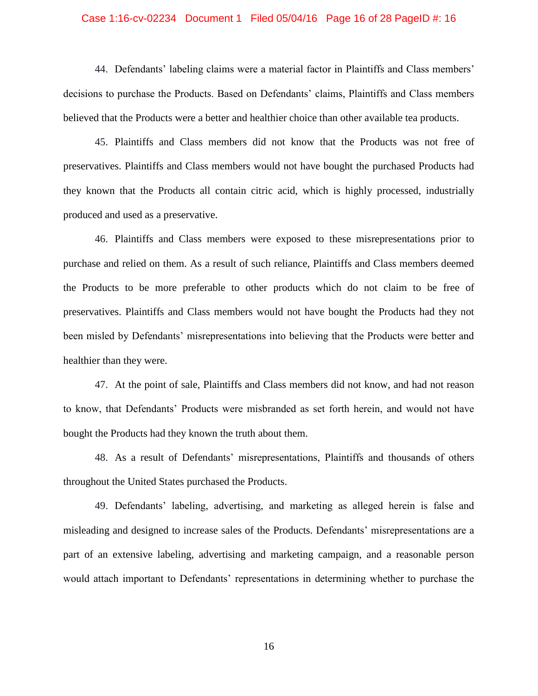#### Case 1:16-cv-02234 Document 1 Filed 05/04/16 Page 16 of 28 PageID #: 16

44. Defendants' labeling claims were a material factor in Plaintiffs and Class members' decisions to purchase the Products. Based on Defendants' claims, Plaintiffs and Class members believed that the Products were a better and healthier choice than other available tea products.

45. Plaintiffs and Class members did not know that the Products was not free of preservatives. Plaintiffs and Class members would not have bought the purchased Products had they known that the Products all contain citric acid, which is highly processed, industrially produced and used as a preservative.

46. Plaintiffs and Class members were exposed to these misrepresentations prior to purchase and relied on them. As a result of such reliance, Plaintiffs and Class members deemed the Products to be more preferable to other products which do not claim to be free of preservatives. Plaintiffs and Class members would not have bought the Products had they not been misled by Defendants' misrepresentations into believing that the Products were better and healthier than they were.

47. At the point of sale, Plaintiffs and Class members did not know, and had not reason to know, that Defendants' Products were misbranded as set forth herein, and would not have bought the Products had they known the truth about them.

48. As a result of Defendants' misrepresentations, Plaintiffs and thousands of others throughout the United States purchased the Products.

49. Defendants' labeling, advertising, and marketing as alleged herein is false and misleading and designed to increase sales of the Products. Defendants' misrepresentations are a part of an extensive labeling, advertising and marketing campaign, and a reasonable person would attach important to Defendants' representations in determining whether to purchase the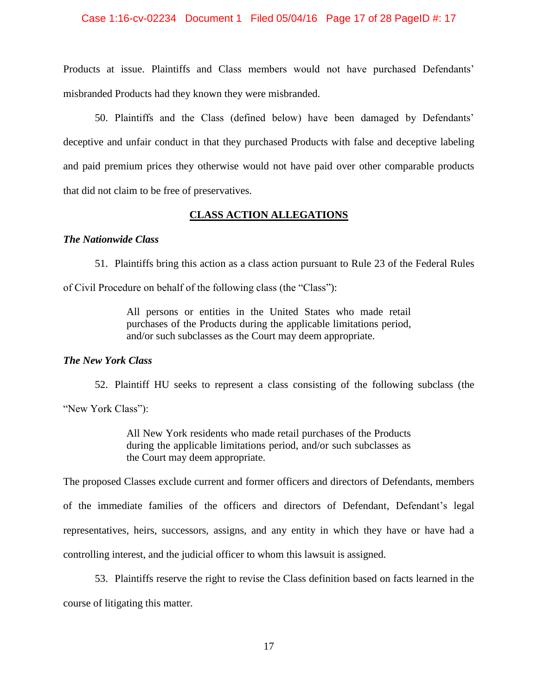#### Case 1:16-cv-02234 Document 1 Filed 05/04/16 Page 17 of 28 PageID #: 17

Products at issue. Plaintiffs and Class members would not have purchased Defendants' misbranded Products had they known they were misbranded.

50. Plaintiffs and the Class (defined below) have been damaged by Defendants' deceptive and unfair conduct in that they purchased Products with false and deceptive labeling and paid premium prices they otherwise would not have paid over other comparable products that did not claim to be free of preservatives.

## **CLASS ACTION ALLEGATIONS**

### *The Nationwide Class*

51. Plaintiffs bring this action as a class action pursuant to Rule 23 of the Federal Rules

of Civil Procedure on behalf of the following class (the "Class"):

All persons or entities in the United States who made retail purchases of the Products during the applicable limitations period, and/or such subclasses as the Court may deem appropriate.

### *The New York Class*

52. Plaintiff HU seeks to represent a class consisting of the following subclass (the

"New York Class"):

All New York residents who made retail purchases of the Products during the applicable limitations period, and/or such subclasses as the Court may deem appropriate.

The proposed Classes exclude current and former officers and directors of Defendants, members of the immediate families of the officers and directors of Defendant, Defendant's legal representatives, heirs, successors, assigns, and any entity in which they have or have had a controlling interest, and the judicial officer to whom this lawsuit is assigned.

53. Plaintiffs reserve the right to revise the Class definition based on facts learned in the course of litigating this matter.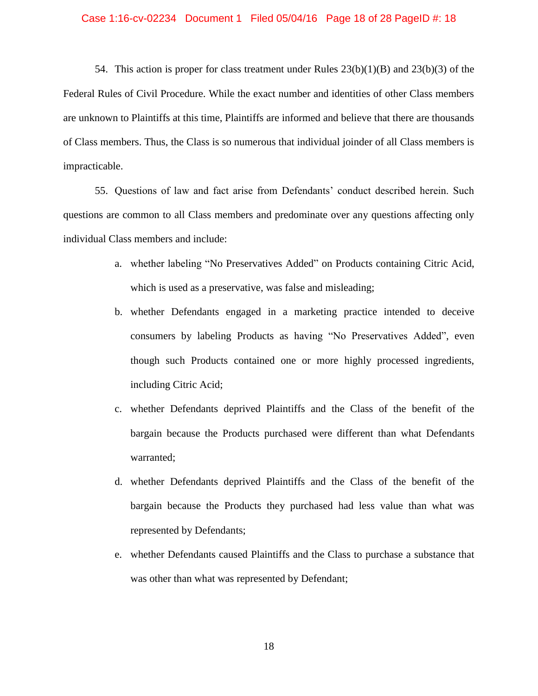### Case 1:16-cv-02234 Document 1 Filed 05/04/16 Page 18 of 28 PageID #: 18

54. This action is proper for class treatment under Rules  $23(b)(1)(B)$  and  $23(b)(3)$  of the Federal Rules of Civil Procedure. While the exact number and identities of other Class members are unknown to Plaintiffs at this time, Plaintiffs are informed and believe that there are thousands of Class members. Thus, the Class is so numerous that individual joinder of all Class members is impracticable.

55. Questions of law and fact arise from Defendants' conduct described herein. Such questions are common to all Class members and predominate over any questions affecting only individual Class members and include:

- a. whether labeling "No Preservatives Added" on Products containing Citric Acid, which is used as a preservative, was false and misleading;
- b. whether Defendants engaged in a marketing practice intended to deceive consumers by labeling Products as having "No Preservatives Added", even though such Products contained one or more highly processed ingredients, including Citric Acid;
- c. whether Defendants deprived Plaintiffs and the Class of the benefit of the bargain because the Products purchased were different than what Defendants warranted;
- d. whether Defendants deprived Plaintiffs and the Class of the benefit of the bargain because the Products they purchased had less value than what was represented by Defendants;
- e. whether Defendants caused Plaintiffs and the Class to purchase a substance that was other than what was represented by Defendant;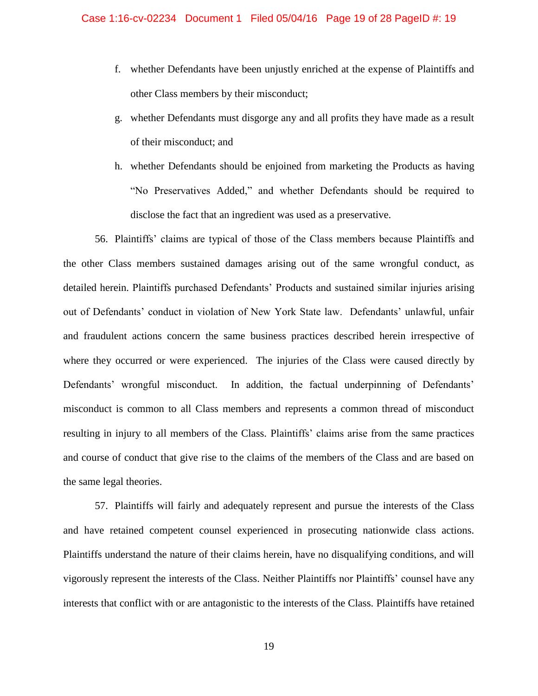- f. whether Defendants have been unjustly enriched at the expense of Plaintiffs and other Class members by their misconduct;
- g. whether Defendants must disgorge any and all profits they have made as a result of their misconduct; and
- h. whether Defendants should be enjoined from marketing the Products as having "No Preservatives Added," and whether Defendants should be required to disclose the fact that an ingredient was used as a preservative.

56. Plaintiffs' claims are typical of those of the Class members because Plaintiffs and the other Class members sustained damages arising out of the same wrongful conduct, as detailed herein. Plaintiffs purchased Defendants' Products and sustained similar injuries arising out of Defendants' conduct in violation of New York State law. Defendants' unlawful, unfair and fraudulent actions concern the same business practices described herein irrespective of where they occurred or were experienced. The injuries of the Class were caused directly by Defendants' wrongful misconduct. In addition, the factual underpinning of Defendants' misconduct is common to all Class members and represents a common thread of misconduct resulting in injury to all members of the Class. Plaintiffs' claims arise from the same practices and course of conduct that give rise to the claims of the members of the Class and are based on the same legal theories.

57. Plaintiffs will fairly and adequately represent and pursue the interests of the Class and have retained competent counsel experienced in prosecuting nationwide class actions. Plaintiffs understand the nature of their claims herein, have no disqualifying conditions, and will vigorously represent the interests of the Class. Neither Plaintiffs nor Plaintiffs' counsel have any interests that conflict with or are antagonistic to the interests of the Class. Plaintiffs have retained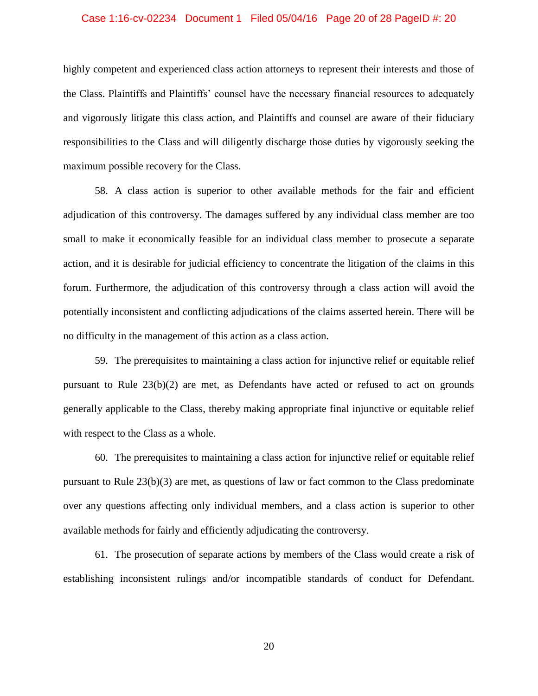#### Case 1:16-cv-02234 Document 1 Filed 05/04/16 Page 20 of 28 PageID #: 20

highly competent and experienced class action attorneys to represent their interests and those of the Class. Plaintiffs and Plaintiffs' counsel have the necessary financial resources to adequately and vigorously litigate this class action, and Plaintiffs and counsel are aware of their fiduciary responsibilities to the Class and will diligently discharge those duties by vigorously seeking the maximum possible recovery for the Class.

58. A class action is superior to other available methods for the fair and efficient adjudication of this controversy. The damages suffered by any individual class member are too small to make it economically feasible for an individual class member to prosecute a separate action, and it is desirable for judicial efficiency to concentrate the litigation of the claims in this forum. Furthermore, the adjudication of this controversy through a class action will avoid the potentially inconsistent and conflicting adjudications of the claims asserted herein. There will be no difficulty in the management of this action as a class action.

59. The prerequisites to maintaining a class action for injunctive relief or equitable relief pursuant to Rule  $23(b)(2)$  are met, as Defendants have acted or refused to act on grounds generally applicable to the Class, thereby making appropriate final injunctive or equitable relief with respect to the Class as a whole.

60. The prerequisites to maintaining a class action for injunctive relief or equitable relief pursuant to Rule 23(b)(3) are met, as questions of law or fact common to the Class predominate over any questions affecting only individual members, and a class action is superior to other available methods for fairly and efficiently adjudicating the controversy.

61. The prosecution of separate actions by members of the Class would create a risk of establishing inconsistent rulings and/or incompatible standards of conduct for Defendant.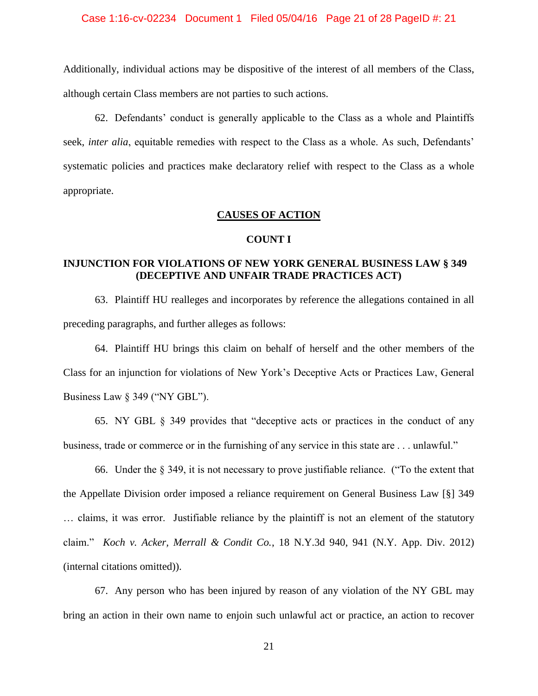#### Case 1:16-cv-02234 Document 1 Filed 05/04/16 Page 21 of 28 PageID #: 21

Additionally, individual actions may be dispositive of the interest of all members of the Class, although certain Class members are not parties to such actions.

62. Defendants' conduct is generally applicable to the Class as a whole and Plaintiffs seek, *inter alia*, equitable remedies with respect to the Class as a whole. As such, Defendants' systematic policies and practices make declaratory relief with respect to the Class as a whole appropriate.

## **CAUSES OF ACTION**

### **COUNT I**

# **INJUNCTION FOR VIOLATIONS OF NEW YORK GENERAL BUSINESS LAW § 349 (DECEPTIVE AND UNFAIR TRADE PRACTICES ACT)**

63. Plaintiff HU realleges and incorporates by reference the allegations contained in all preceding paragraphs, and further alleges as follows:

64. Plaintiff HU brings this claim on behalf of herself and the other members of the Class for an injunction for violations of New York's Deceptive Acts or Practices Law, General Business Law § 349 ("NY GBL").

65. NY GBL § 349 provides that "deceptive acts or practices in the conduct of any business, trade or commerce or in the furnishing of any service in this state are . . . unlawful."

66. Under the § 349, it is not necessary to prove justifiable reliance. ("To the extent that the Appellate Division order imposed a reliance requirement on General Business Law [§] 349 … claims, it was error. Justifiable reliance by the plaintiff is not an element of the statutory claim." *Koch v. Acker, Merrall & Condit Co.*, 18 N.Y.3d 940, 941 (N.Y. App. Div. 2012) (internal citations omitted)).

67. Any person who has been injured by reason of any violation of the NY GBL may bring an action in their own name to enjoin such unlawful act or practice, an action to recover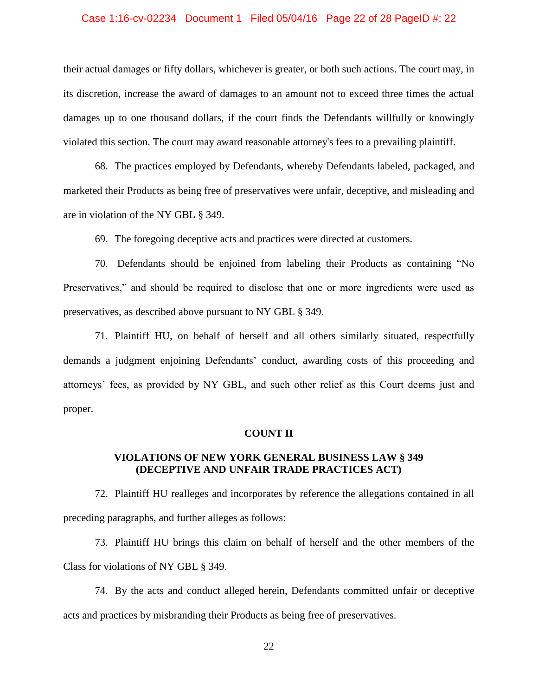### Case 1:16-cv-02234 Document 1 Filed 05/04/16 Page 22 of 28 PageID #: 22

their actual damages or fifty dollars, whichever is greater, or both such actions. The court may, in its discretion, increase the award of damages to an amount not to exceed three times the actual damages up to one thousand dollars, if the court finds the Defendants willfully or knowingly violated this section. The court may award reasonable attorney's fees to a prevailing plaintiff.

68. The practices employed by Defendants, whereby Defendants labeled, packaged, and marketed their Products as being free of preservatives were unfair, deceptive, and misleading and are in violation of the NY GBL § 349.

69. The foregoing deceptive acts and practices were directed at customers.

70. Defendants should be enjoined from labeling their Products as containing "No Preservatives," and should be required to disclose that one or more ingredients were used as preservatives, as described above pursuant to NY GBL § 349.

71. Plaintiff HU, on behalf of herself and all others similarly situated, respectfully demands a judgment enjoining Defendants' conduct, awarding costs of this proceeding and attorneys' fees, as provided by NY GBL, and such other relief as this Court deems just and proper.

## **COUNT II**

## **VIOLATIONS OF NEW YORK GENERAL BUSINESS LAW § 349 (DECEPTIVE AND UNFAIR TRADE PRACTICES ACT)**

72. Plaintiff HU realleges and incorporates by reference the allegations contained in all preceding paragraphs, and further alleges as follows:

73. Plaintiff HU brings this claim on behalf of herself and the other members of the Class for violations of NY GBL § 349.

74. By the acts and conduct alleged herein, Defendants committed unfair or deceptive acts and practices by misbranding their Products as being free of preservatives.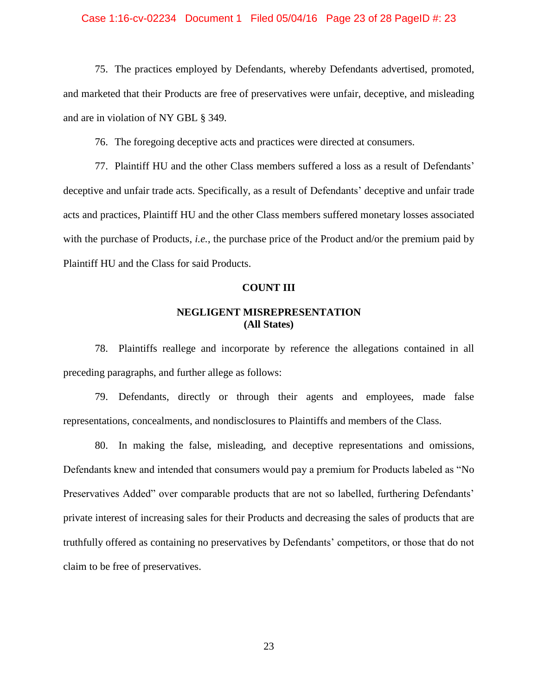#### Case 1:16-cv-02234 Document 1 Filed 05/04/16 Page 23 of 28 PageID #: 23

75. The practices employed by Defendants, whereby Defendants advertised, promoted, and marketed that their Products are free of preservatives were unfair, deceptive, and misleading and are in violation of NY GBL § 349.

76. The foregoing deceptive acts and practices were directed at consumers.

77. Plaintiff HU and the other Class members suffered a loss as a result of Defendants' deceptive and unfair trade acts. Specifically, as a result of Defendants' deceptive and unfair trade acts and practices, Plaintiff HU and the other Class members suffered monetary losses associated with the purchase of Products, *i.e.*, the purchase price of the Product and/or the premium paid by Plaintiff HU and the Class for said Products.

### **COUNT III**

# **NEGLIGENT MISREPRESENTATION (All States)**

78. Plaintiffs reallege and incorporate by reference the allegations contained in all preceding paragraphs, and further allege as follows:

79. Defendants, directly or through their agents and employees, made false representations, concealments, and nondisclosures to Plaintiffs and members of the Class.

80. In making the false, misleading, and deceptive representations and omissions, Defendants knew and intended that consumers would pay a premium for Products labeled as "No Preservatives Added" over comparable products that are not so labelled, furthering Defendants' private interest of increasing sales for their Products and decreasing the sales of products that are truthfully offered as containing no preservatives by Defendants' competitors, or those that do not claim to be free of preservatives.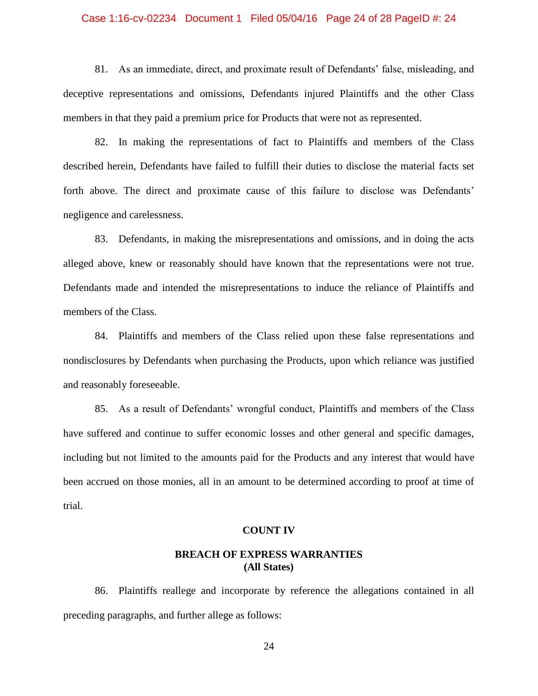#### Case 1:16-cv-02234 Document 1 Filed 05/04/16 Page 24 of 28 PageID #: 24

81. As an immediate, direct, and proximate result of Defendants' false, misleading, and deceptive representations and omissions, Defendants injured Plaintiffs and the other Class members in that they paid a premium price for Products that were not as represented.

82. In making the representations of fact to Plaintiffs and members of the Class described herein, Defendants have failed to fulfill their duties to disclose the material facts set forth above. The direct and proximate cause of this failure to disclose was Defendants' negligence and carelessness.

83. Defendants, in making the misrepresentations and omissions, and in doing the acts alleged above, knew or reasonably should have known that the representations were not true. Defendants made and intended the misrepresentations to induce the reliance of Plaintiffs and members of the Class.

84. Plaintiffs and members of the Class relied upon these false representations and nondisclosures by Defendants when purchasing the Products, upon which reliance was justified and reasonably foreseeable.

85. As a result of Defendants' wrongful conduct, Plaintiffs and members of the Class have suffered and continue to suffer economic losses and other general and specific damages, including but not limited to the amounts paid for the Products and any interest that would have been accrued on those monies, all in an amount to be determined according to proof at time of trial.

#### **COUNT IV**

## **BREACH OF EXPRESS WARRANTIES (All States)**

86. Plaintiffs reallege and incorporate by reference the allegations contained in all preceding paragraphs, and further allege as follows: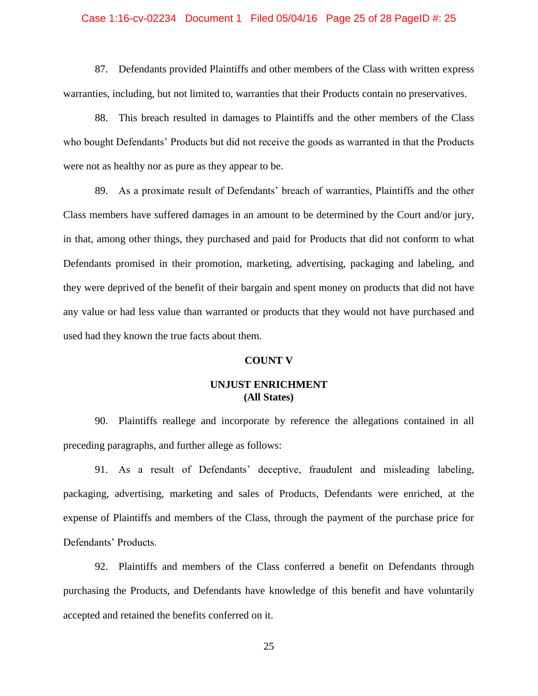#### Case 1:16-cv-02234 Document 1 Filed 05/04/16 Page 25 of 28 PageID #: 25

87. Defendants provided Plaintiffs and other members of the Class with written express warranties, including, but not limited to, warranties that their Products contain no preservatives.

88. This breach resulted in damages to Plaintiffs and the other members of the Class who bought Defendants' Products but did not receive the goods as warranted in that the Products were not as healthy nor as pure as they appear to be.

89. As a proximate result of Defendants' breach of warranties, Plaintiffs and the other Class members have suffered damages in an amount to be determined by the Court and/or jury, in that, among other things, they purchased and paid for Products that did not conform to what Defendants promised in their promotion, marketing, advertising, packaging and labeling, and they were deprived of the benefit of their bargain and spent money on products that did not have any value or had less value than warranted or products that they would not have purchased and used had they known the true facts about them.

#### **COUNT V**

# **UNJUST ENRICHMENT (All States)**

90. Plaintiffs reallege and incorporate by reference the allegations contained in all preceding paragraphs, and further allege as follows:

91. As a result of Defendants' deceptive, fraudulent and misleading labeling, packaging, advertising, marketing and sales of Products, Defendants were enriched, at the expense of Plaintiffs and members of the Class, through the payment of the purchase price for Defendants' Products.

92. Plaintiffs and members of the Class conferred a benefit on Defendants through purchasing the Products, and Defendants have knowledge of this benefit and have voluntarily accepted and retained the benefits conferred on it.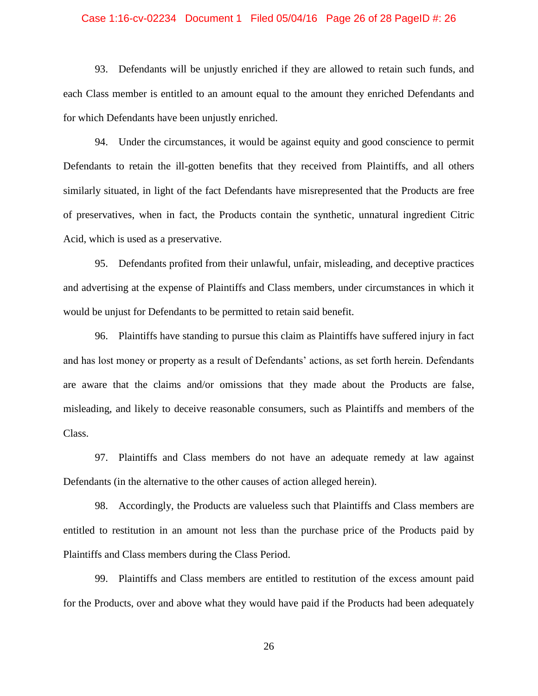#### Case 1:16-cv-02234 Document 1 Filed 05/04/16 Page 26 of 28 PageID #: 26

93. Defendants will be unjustly enriched if they are allowed to retain such funds, and each Class member is entitled to an amount equal to the amount they enriched Defendants and for which Defendants have been unjustly enriched.

94. Under the circumstances, it would be against equity and good conscience to permit Defendants to retain the ill-gotten benefits that they received from Plaintiffs, and all others similarly situated, in light of the fact Defendants have misrepresented that the Products are free of preservatives, when in fact, the Products contain the synthetic, unnatural ingredient Citric Acid, which is used as a preservative.

95. Defendants profited from their unlawful, unfair, misleading, and deceptive practices and advertising at the expense of Plaintiffs and Class members, under circumstances in which it would be unjust for Defendants to be permitted to retain said benefit.

96. Plaintiffs have standing to pursue this claim as Plaintiffs have suffered injury in fact and has lost money or property as a result of Defendants' actions, as set forth herein. Defendants are aware that the claims and/or omissions that they made about the Products are false, misleading, and likely to deceive reasonable consumers, such as Plaintiffs and members of the Class.

97. Plaintiffs and Class members do not have an adequate remedy at law against Defendants (in the alternative to the other causes of action alleged herein).

98. Accordingly, the Products are valueless such that Plaintiffs and Class members are entitled to restitution in an amount not less than the purchase price of the Products paid by Plaintiffs and Class members during the Class Period.

99. Plaintiffs and Class members are entitled to restitution of the excess amount paid for the Products, over and above what they would have paid if the Products had been adequately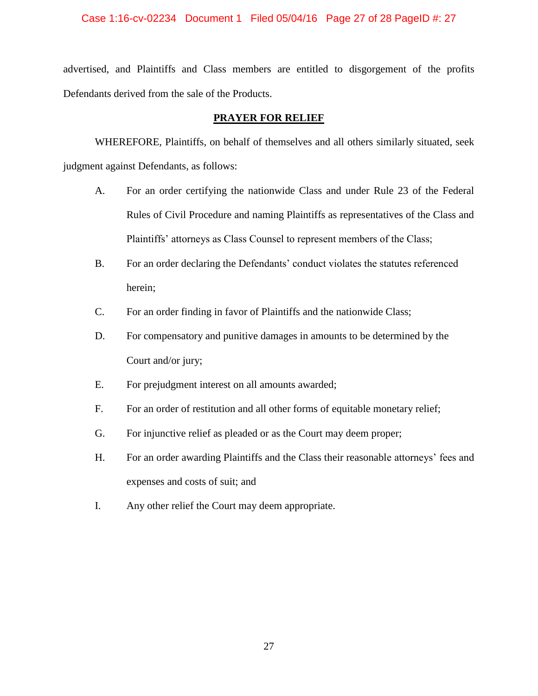## Case 1:16-cv-02234 Document 1 Filed 05/04/16 Page 27 of 28 PageID #: 27

advertised, and Plaintiffs and Class members are entitled to disgorgement of the profits Defendants derived from the sale of the Products.

## **PRAYER FOR RELIEF**

WHEREFORE, Plaintiffs, on behalf of themselves and all others similarly situated, seek judgment against Defendants, as follows:

- A. For an order certifying the nationwide Class and under Rule 23 of the Federal Rules of Civil Procedure and naming Plaintiffs as representatives of the Class and Plaintiffs' attorneys as Class Counsel to represent members of the Class;
- B. For an order declaring the Defendants' conduct violates the statutes referenced herein;
- C. For an order finding in favor of Plaintiffs and the nationwide Class;
- D. For compensatory and punitive damages in amounts to be determined by the Court and/or jury;
- E. For prejudgment interest on all amounts awarded;
- F. For an order of restitution and all other forms of equitable monetary relief;
- G. For injunctive relief as pleaded or as the Court may deem proper;
- H. For an order awarding Plaintiffs and the Class their reasonable attorneys' fees and expenses and costs of suit; and
- I. Any other relief the Court may deem appropriate.